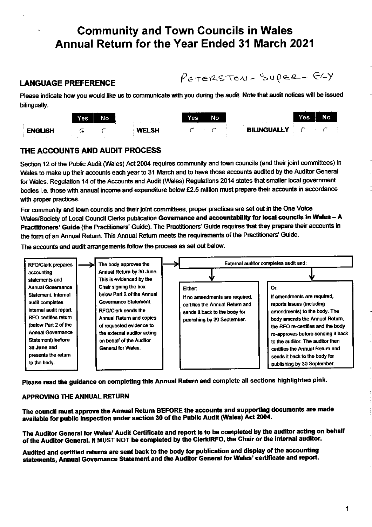# **Community and Town Councils in Wales** Annual Return for the Year Ended 31 March 2021

### **LANGUAGE PREFERENCE**

PETERSTON-SUPER-ELY

Please indicate how you would like us to communicate with you during the audit. Note that audit notices will be issued bilingually.



### THE ACCOUNTS AND AUDIT PROCESS

Section 12 of the Public Audit (Wales) Act 2004 requires community and town councils (and their joint committees) in Wales to make up their accounts each year to 31 March and to have those accounts audited by the Auditor General for Wales. Regulation 14 of the Accounts and Audit (Wales) Regulations 2014 states that smaller local government bodies i.e. those with annual income and expenditure below £2.5 million must prepare their accounts in accordance with proper practices.

For community and town councils and their joint committees, proper practices are set out in the One Voice Wales/Society of Local Council Clerks publication Governance and accountability for local councils in Wales - A Practitioners' Guide (the Practitioners' Guide). The Practitioners' Guide requires that they prepare their accounts in the form of an Annual Return. This Annual Return meets the requirements of the Practitioners' Guide.

The accounts and audit arrangements follow the process as set out below.



Please read the guidance on completing this Annual Return and complete all sections highlighted pink.

### **APPROVING THE ANNUAL RETURN**

The council must approve the Annual Return BEFORE the accounts and supporting documents are made available for public inspection under section 30 of the Public Audit (Wales) Act 2004.

The Auditor General for Wales' Audit Certificate and report is to be completed by the auditor acting on behalf of the Auditor General. It MUST NOT be completed by the Clerk/RFO, the Chair or the internal auditor.

Audited and certified returns are sent back to the body for publication and display of the accounting statements, Annual Governance Statement and the Auditor General for Wales' certificate and report.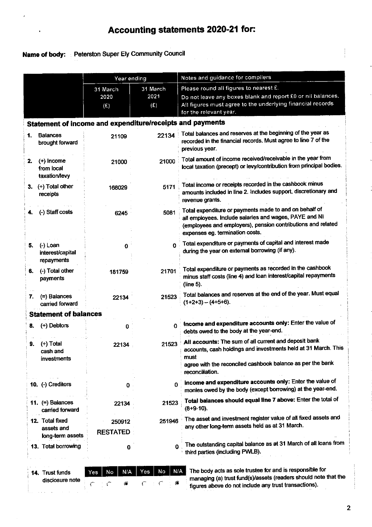# Accounting statements 2020-21 for:

### Name of body: : Peterston Super Ely Community Council

|    |                                                   | Year ending                                               |                         | Notes and guidance for compilers                                                                                                                                                                                    |  |  |  |  |
|----|---------------------------------------------------|-----------------------------------------------------------|-------------------------|---------------------------------------------------------------------------------------------------------------------------------------------------------------------------------------------------------------------|--|--|--|--|
|    |                                                   | 31 March<br>2020<br>(E)                                   | 31 March<br>2021<br>(E) | Please round all figures to nearest £.<br>Do not leave any boxes blank and report £0 or nil balances.<br>All figures must agree to the underlying financial records<br>for the relevant year.                       |  |  |  |  |
|    |                                                   | Statement of income and expenditure/receipts and payments |                         |                                                                                                                                                                                                                     |  |  |  |  |
| 1. | <b>Balances</b><br>brought forward                | 21109                                                     | 22134                   | Total balances and reserves at the beginning of the year as<br>recorded in the financial records. Must agree to line 7 of the<br>previous year.                                                                     |  |  |  |  |
| 2. | (+) Income<br>from local<br>taxation/levy         | 21000                                                     | 21000                   | Total amount of income received/receivable in the year from<br>local taxation (precept) or levy/contribution from principal bodies.                                                                                 |  |  |  |  |
| 3. | (+) Total other<br>receipts                       | 168029                                                    | 5171                    | Total income or receipts recorded in the cashbook minus<br>amounts included in line 2. Includes support, discretionary and<br>revenue grants.                                                                       |  |  |  |  |
|    | (-) Staff costs                                   | 6245                                                      | 5081                    | Total expenditure or payments made to and on behalf of<br>all employees. Include salaries and wages, PAYE and NI<br>(employees and employers), pension contributions and related<br>expenses eg. termination costs. |  |  |  |  |
| 5. | $(-)$ Loan<br>interest/capital<br>repayments      | 0                                                         | O                       | Total expenditure or payments of capital and interest made<br>during the year on external borrowing (if any).                                                                                                       |  |  |  |  |
| 6. | (-) Total other<br>payments                       | 181759                                                    | 21701                   | Total expenditure or payments as recorded in the cashbook<br>minus staff costs (line 4) and loan interest/capital repayments<br>(line 5).                                                                           |  |  |  |  |
| 7. | $(=)$ Balances<br>carried forward                 | 22134                                                     | 21523                   | Total balances and reserves at the end of the year. Must equal<br>$(1+2+3) - (4+5+6)$ .                                                                                                                             |  |  |  |  |
|    | <b>Statement of balances</b>                      |                                                           |                         |                                                                                                                                                                                                                     |  |  |  |  |
| 8. | (+) Debtors                                       | 0                                                         | 0                       | Income and expenditure accounts only: Enter the value of<br>debts owed to the body at the year-end.                                                                                                                 |  |  |  |  |
| 9. | (+) Total<br>cash and<br>investments              | 22134                                                     | 21523                   | All accounts: The sum of all current and deposit bank<br>accounts, cash holdings and investments held at 31 March. This<br>must<br>agree with the reconciled cashbook balance as per the bank<br>reconciliation.    |  |  |  |  |
|    | 10. (-) Creditors                                 | 0                                                         | 0                       | Income and expenditure accounts only: Enter the value of<br>monies owed by the body (except borrowing) at the year-end.                                                                                             |  |  |  |  |
|    | 11. $(=)$ Balances<br>carried forward             | 22134                                                     | 21523                   | Total balances should equal line 7 above: Enter the total of<br>$(8+9-10)$ .                                                                                                                                        |  |  |  |  |
|    | 12. Total fixed<br>assets and<br>long-term assets | 250912<br><b>RESTATED</b>                                 | 251946                  | The asset and investment register value of all fixed assets and<br>any other long-term assets held as at 31 March.                                                                                                  |  |  |  |  |
|    | 13. Total borrowing                               | 0                                                         | 0                       | The outstanding capital balance as at 31 March of all loans from<br>third parties (including PWLB).                                                                                                                 |  |  |  |  |

| 14. Trust funds |  | Yes   No   N/A   Yes   No |  | I N/A |
|-----------------|--|---------------------------|--|-------|
| disclosure note |  |                           |  |       |

The body acts as sole trustee for and is responsible for managing (a) trust fund(s)/assets (readers should note that the figures above do not include any trust transactions).

 $\frac{1}{2}$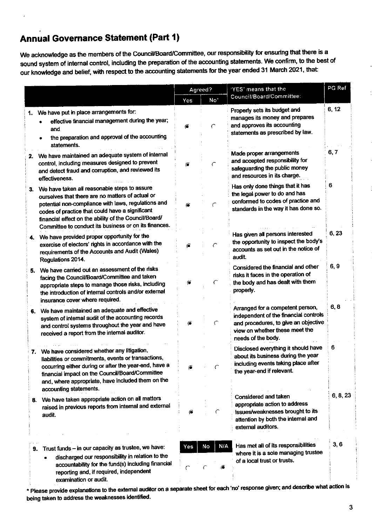# **Annual Governance Statement (Part 1)**

We acknowledge as the members of the Council/Board/Committee, our responsibility for ensuring that there is a sound system of internal control, including the preparation of the accounting statements. We confirm, to the best of our knowledge and belief, with respect to the accounting statements for the year ended 31 March 2021, that:

|    |                                                                                                                                                                                                                                                                                                                                 | Agreed?    |                 | 'YES' means that the                                                                                                                                                      | PG Ref   |
|----|---------------------------------------------------------------------------------------------------------------------------------------------------------------------------------------------------------------------------------------------------------------------------------------------------------------------------------|------------|-----------------|---------------------------------------------------------------------------------------------------------------------------------------------------------------------------|----------|
|    |                                                                                                                                                                                                                                                                                                                                 | Yes        | No <sup>*</sup> | Council/Board/Committee:                                                                                                                                                  |          |
| 1. | We have put in place arrangements for:<br>effective financial management during the year;<br>and<br>the preparation and approval of the accounting                                                                                                                                                                              | Ø.         |                 | Properly sets its budget and<br>manages its money and prepares<br>and approves its accounting<br>statements as prescribed by law.                                         | 6, 12    |
|    | statements.<br>2. We have maintained an adequate system of internal<br>control, including measures designed to prevent<br>and detect fraud and corruption, and reviewed its<br>effectiveness.                                                                                                                                   | €          |                 | Made proper arrangements<br>and accepted responsibility for<br>safeguarding the public money<br>and resources in its charge.                                              | 6, 7     |
|    | 3. We have taken all reasonable steps to assure<br>ourselves that there are no matters of actual or<br>potential non-compliance with laws, regulations and<br>codes of practice that could have a significant<br>financial effect on the ability of the Council/Board/<br>Committee to conduct its business or on its finances. |            | $\mathcal{C}$   | Has only done things that it has<br>the legal power to do and has<br>conformed to codes of practice and<br>standards in the way it has done so.                           | 6        |
| 4. | We have provided proper opportunity for the<br>exercise of electors' rights in accordance with the<br>requirements of the Accounts and Audit (Wales)<br>Regulations 2014.                                                                                                                                                       | ő          | C               | Has given all persons interested<br>the opportunity to inspect the body's<br>accounts as set out in the notice of<br>audit.                                               | 6, 23    |
|    | 5. We have carried out an assessment of the risks<br>facing the Council/Board/Committee and taken<br>appropriate steps to manage those risks, including<br>the introduction of internal controls and/or external<br>insurance cover where required.                                                                             | €          |                 | Considered the financial and other<br>risks it faces in the operation of<br>the body and has dealt with them<br>properly.                                                 | 6, 9     |
| 6. | We have maintained an adequate and effective<br>system of internal audit of the accounting records<br>and control systems throughout the year and have<br>received a report from the internal auditor.                                                                                                                          | G          | $\subset$       | Arranged for a competent person,<br>independent of the financial controls<br>and procedures, to give an objective<br>view on whether these meet the<br>needs of the body. | 6, 8     |
|    | 7. We have considered whether any litigation,<br>liabilities or commitments, events or transactions,<br>occurring either during or after the year-end, have a<br>financial impact on the Council/Board/Committee<br>and, where appropriate, have included them on the<br>accounting statements.                                 |            | C               | Disclosed everything it should have<br>about its business during the year<br>including events taking place after<br>the year-end if relevant.                             | 6        |
| 8. | We have taken appropriate action on all matters<br>raised in previous reports from internal and external<br>audit.                                                                                                                                                                                                              | $\epsilon$ | C               | Considered and taken<br>appropriate action to address<br>issues/weaknesses brought to its<br>attention by both the internal and<br>external auditors.                     | 6, 8, 23 |
|    | 9. Trust funds - in our capacity as trustee, we have:<br>discharged our responsibility in relation to the<br>accountability for the fund(s) including financial<br>reporting and, if required, independent<br>examination or audit.                                                                                             | Yes        | N/A<br>No<br>,6 | Has met all of its responsibilities<br>where it is a sole managing trustee<br>of a local trust or trusts.                                                                 | 3,6      |

\* Please provide explanations to the external auditor on a separate sheet for each 'no' response given; and describe what action is being taken to address the weaknesses identified.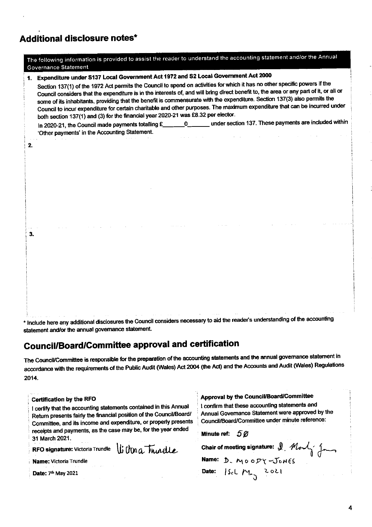## **Additional disclosure notes\***

|    | The following information is provided to assist the reader to understand the accounting statement and/or the Annual<br><b>Governance Statement</b>                                                                                                                                                                                                                                                                                                                                                                                                                                                                                                                                                                                                                                                                                                                                   |  |  |  |  |  |  |  |
|----|--------------------------------------------------------------------------------------------------------------------------------------------------------------------------------------------------------------------------------------------------------------------------------------------------------------------------------------------------------------------------------------------------------------------------------------------------------------------------------------------------------------------------------------------------------------------------------------------------------------------------------------------------------------------------------------------------------------------------------------------------------------------------------------------------------------------------------------------------------------------------------------|--|--|--|--|--|--|--|
| 1. | Expenditure under S137 Local Government Act 1972 and S2 Local Government Act 2000<br>Section 137(1) of the 1972 Act permits the Council to spend on activities for which it has no other specific powers if the<br>Council considers that the expenditure is in the interests of, and will bring direct benefit to, the area or any part of it, or all or<br>some of its inhabitants, providing that the benefit is commensurate with the expenditure. Section 137(3) also permits the<br>Council to incur expenditure for certain charitable and other purposes. The maximum expenditure that can be incurred under<br>both section 137(1) and (3) for the financial year 2020-21 was £8.32 per elector.<br>under section 137. These payments are included within<br>In 2020-21, the Council made payments totalling £______0_____<br>'Other payments' in the Accounting Statement. |  |  |  |  |  |  |  |
| 2. |                                                                                                                                                                                                                                                                                                                                                                                                                                                                                                                                                                                                                                                                                                                                                                                                                                                                                      |  |  |  |  |  |  |  |
| 3. |                                                                                                                                                                                                                                                                                                                                                                                                                                                                                                                                                                                                                                                                                                                                                                                                                                                                                      |  |  |  |  |  |  |  |

\* Include here any additional disclosures the Council considers necessary to aid the reader's understanding of the accounting statement and/or the annual governance statement.

# **Council/Board/Committee approval and certification**

The Council/Committee is responsible for the preparation of the accounting statements and the annual governance statement in accordance with the requirements of the Public Audit (Wales) Act 2004 (the Act) and the Accounts and Audit (Wales) Regulations 2014.

| Certification by the RFO<br>certify that the accounting statements contained in this Annual<br>Return presents fairly the financial position of the Council/Board/<br>Committee, and its income and expenditure, or properly presents<br>receipts and payments, as the case may be, for the year ended | Approval by the Council/Board/Committee<br>I confirm that these accounting statements and<br>Annual Governance Statement were approved by the<br>Council/Board/Committee under minute reference:<br>Minute ref: $50$<br>Chair of meeting signature: $\int$ $M_{\text{e}}$ |  |  |  |
|--------------------------------------------------------------------------------------------------------------------------------------------------------------------------------------------------------------------------------------------------------------------------------------------------------|---------------------------------------------------------------------------------------------------------------------------------------------------------------------------------------------------------------------------------------------------------------------------|--|--|--|
| 31 March 2021.                                                                                                                                                                                                                                                                                         |                                                                                                                                                                                                                                                                           |  |  |  |
| RFO signature: Victoria Trundle $\iint_R f(n) a$ Trundle                                                                                                                                                                                                                                               |                                                                                                                                                                                                                                                                           |  |  |  |
| Name: Victoria Trundle                                                                                                                                                                                                                                                                                 | Name: D. MOODY-JONES                                                                                                                                                                                                                                                      |  |  |  |
| Date: 7th May 2021                                                                                                                                                                                                                                                                                     | Date: $ S_c  \, M_{\gamma}$ 2021                                                                                                                                                                                                                                          |  |  |  |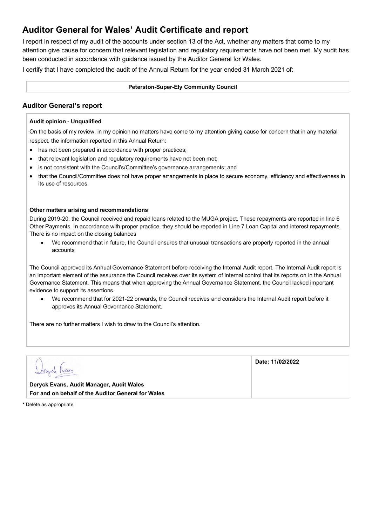## **Auditor General for Wales' Audit Certificate and report**

I report in respect of my audit of the accounts under section 13 of the Act, whether any matters that come to my attention give cause for concern that relevant legislation and regulatory requirements have not been met. My audit has been conducted in accordance with guidance issued by the Auditor General for Wales.

I certify that I have completed the audit of the Annual Return for the year ended 31 March 2021 of:

#### **Peterston-Super-Ely Community Council**

### **Auditor General's report**

### **Audit opinion - Unqualified**

On the basis of my review, in my opinion no matters have come to my attention giving cause for concern that in any material respect, the information reported in this Annual Return:

- has not been prepared in accordance with proper practices;
- that relevant legislation and regulatory requirements have not been met;
- is not consistent with the Council's/Committee's governance arrangements; and
- that the Council/Committee does not have proper arrangements in place to secure economy, efficiency and effectiveness in its use of resources.

### **Other matters arising and recommendations**

During 2019-20, the Council received and repaid loans related to the MUGA project. These repayments are reported in line 6 Other Payments. In accordance with proper practice, they should be reported in Line 7 Loan Capital and interest repayments. There is no impact on the closing balances

• We recommend that in future, the Council ensures that unusual transactions are properly reported in the annual accounts

The Council approved its Annual Governance Statement before receiving the Internal Audit report. The Internal Audit report is an important element of the assurance the Council receives over its system of internal control that its reports on in the Annual Governance Statement. This means that when approving the Annual Governance Statement, the Council lacked important evidence to support its assertions.

• We recommend that for 2021-22 onwards, the Council receives and considers the Internal Audit report before it approves its Annual Governance Statement.

There are no further matters I wish to draw to the Council's attention.

|                                                    | Date: 11/02/2022 |
|----------------------------------------------------|------------------|
| Deryck Evans, Audit Manager, Audit Wales           |                  |
| For and on behalf of the Auditor General for Wales |                  |

**\*** Delete as appropriate.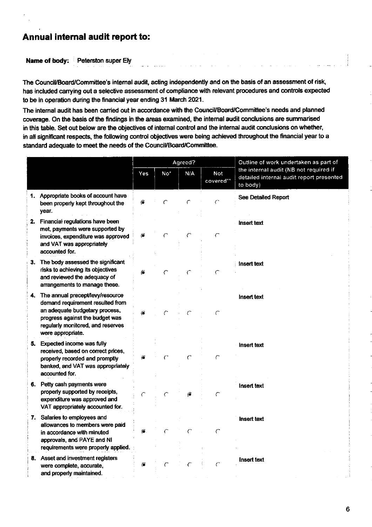## Annual internal audit report to:

Name of body: Peterston super Ely

The Council/Board/Committee's internal audit, acting independently and on the basis of an assessment of risk, has included carrying out a selective assessment of compliance with relevant procedures and controls expected to be in operation during the financial year ending 31 March 2021.

The internal audit has been carried out in accordance with the Council/Board/Committee's needs and planned coverage. On the basis of the findings in the areas examined, the internal audit conclusions are summarised in this table. Set out below are the objectives of internal control and the internal audit conclusions on whether, in all significant respects, the following control objectives were being achieved throughout the financial year to a standard adequate to meet the needs of the Council/Board/Committee.

|    |                                                                                                                                                                                                     |     |                 | Agreed? |                         | Outline of work undertaken as part of                                                          |  |
|----|-----------------------------------------------------------------------------------------------------------------------------------------------------------------------------------------------------|-----|-----------------|---------|-------------------------|------------------------------------------------------------------------------------------------|--|
|    |                                                                                                                                                                                                     | Yes | No <sup>*</sup> | N/A     | <b>Not</b><br>covered** | the internal audit (NB not required if<br>detailed internal audit report presented<br>to body) |  |
|    | 1. Appropriate books of account have<br>been properly kept throughout the<br>year.                                                                                                                  | €   |                 |         | $\subset$               | <b>See Detailed Report</b>                                                                     |  |
| 2. | Financial regulations have been<br>met, payments were supported by<br>invoices, expenditure was approved<br>and VAT was appropriately<br>accounted for.                                             | ô   |                 |         | $\subset$               | <b>Insert text</b>                                                                             |  |
| З. | The body assessed the significant<br>risks to achieving its objectives<br>and reviewed the adequacy of<br>arrangements to manage these.                                                             | ő   |                 |         | C                       | Insert text                                                                                    |  |
| 4. | The annual precept/levy/resource<br>demand requirement resulted from<br>an adequate budgetary process,<br>progress against the budget was<br>regularly monitored, and reserves<br>were appropriate. | ŢÖ. |                 |         | C                       | Insert text                                                                                    |  |
| 5. | <b>Expected income was fully</b><br>received, based on correct prices,<br>properly recorded and promptly<br>banked, and VAT was appropriately<br>accounted for.                                     |     |                 |         | ⊂                       | Insert text                                                                                    |  |
|    | 6. Petty cash payments were<br>properly supported by receipts,<br>expenditure was approved and<br>VAT appropriately accounted for.                                                                  |     |                 |         | ⊂                       | Insert text                                                                                    |  |
|    | 7. Salaries to employees and<br>allowances to members were paid<br>in accordance with minuted<br>approvals, and PAYE and NI<br>requirements were properly applied.                                  | õ   |                 |         | $\epsilon$              | Insert text                                                                                    |  |
|    | 8. Asset and investment registers<br>were complete, accurate,<br>and properly maintained.                                                                                                           | õ   |                 |         | $\subset$               | Insert text                                                                                    |  |